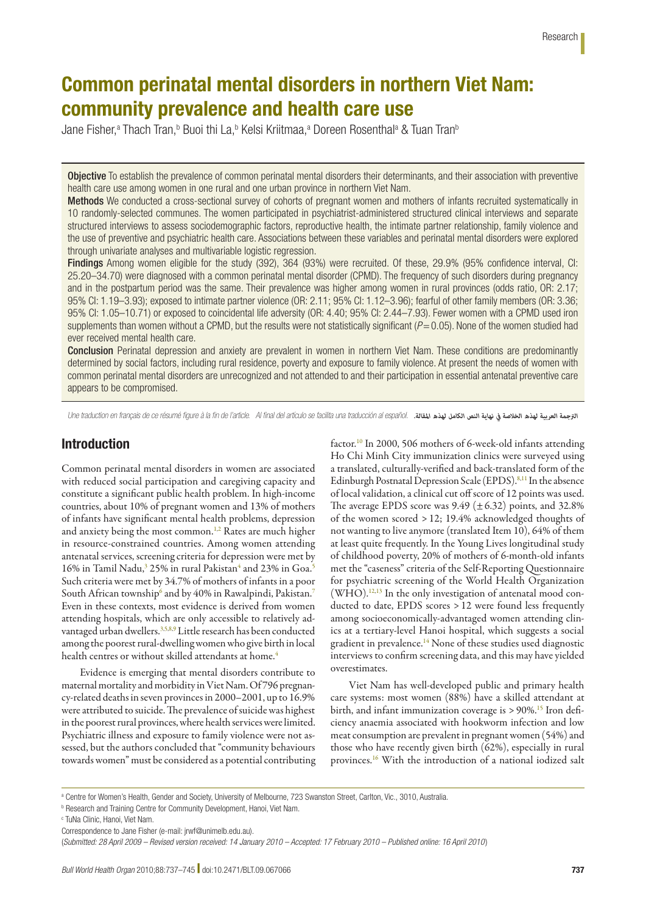# Common perinatal mental disorders in northern Viet Nam: community prevalence and health care use

Jane Fisher,ª Thach Tran,b Buoi thi La,b Kelsi Kriitmaa,ª Doreen Rosenthalª & Tuan Tranb

**Objective** To establish the prevalence of common perinatal mental disorders their determinants, and their association with preventive health care use among women in one rural and one urban province in northern Viet Nam.

Methods We conducted a cross-sectional survey of cohorts of pregnant women and mothers of infants recruited systematically in 10 randomly-selected communes. The women participated in psychiatrist-administered structured clinical interviews and separate structured interviews to assess sociodemographic factors, reproductive health, the intimate partner relationship, family violence and the use of preventive and psychiatric health care. Associations between these variables and perinatal mental disorders were explored through univariate analyses and multivariable logistic regression.

Findings Among women eligible for the study (392), 364 (93%) were recruited. Of these, 29.9% (95% confidence interval, CI: 25.20–34.70) were diagnosed with a common perinatal mental disorder (CPMD). The frequency of such disorders during pregnancy and in the postpartum period was the same. Their prevalence was higher among women in rural provinces (odds ratio, OR: 2.17; 95% CI: 1.19–3.93); exposed to intimate partner violence (OR: 2.11; 95% CI: 1.12–3.96); fearful of other family members (OR: 3.36; 95% CI: 1.05–10.71) or exposed to coincidental life adversity (OR: 4.40; 95% CI: 2.44–7.93). Fewer women with a CPMD used iron supplements than women without a CPMD, but the results were not statistically significant  $(P=0.05)$ . None of the women studied had ever received mental health care.

Conclusion Perinatal depression and anxiety are prevalent in women in northern Viet Nam. These conditions are predominantly determined by social factors, including rural residence, poverty and exposure to family violence. At present the needs of women with common perinatal mental disorders are unrecognized and not attended to and their participation in essential antenatal preventive care appears to be compromised.

Une traduction en français de ce résumé figure à la fin de l'article. Al final del artículo se facilita una traducción al español. *.املقالة لهذه الكامل النص نهاية يف الخالصة لهذه العربية الرتجمة*

# Introduction

Common perinatal mental disorders in women are associated with reduced social participation and caregiving capacity and constitute a significant public health problem. In high-income countries, about 10% of pregnant women and 13% of mothers of infants have significant mental health problems, depression and anxiety being the most common.<sup>1,2</sup> Rates are much higher in resource-constrained countries. Among women attending antenatal services, screening criteria for depression were met by 16% in Tamil Nadu,<sup>3</sup> 25% in rural Pakistan<sup>4</sup> and 23% in Goa.<sup>5</sup> Such criteria were met by 34.7% of mothers of infants in a poor South African township<sup>6</sup> and by 40% in Rawalpindi, Pakistan.<sup>7</sup> Even in these contexts, most evidence is derived from women attending hospitals, which are only accessible to relatively advantaged urban dwellers.<sup>3,5,8,9</sup> Little research has been conducted among the poorest rural-dwelling women who give birth in local health centres or without skilled attendants at home.<sup>4</sup>

Evidence is emerging that mental disorders contribute to maternal mortality and morbidity in Viet Nam. Of 796 pregnancy-related deaths in seven provinces in 2000–2001, up to 16.9% were attributed to suicide. The prevalence of suicide was highest in the poorest rural provinces, where health services were limited. Psychiatric illness and exposure to family violence were not assessed, but the authors concluded that "community behaviours towards women" must be considered as a potential contributing

factor.<sup>10</sup> In 2000, 506 mothers of 6-week-old infants attending Ho Chi Minh City immunization clinics were surveyed using a translated, culturally-verified and back-translated form of the Edinburgh Postnatal Depression Scale (EPDS).<sup>8,11</sup> In the absence of local validation, a clinical cut off score of 12 points was used. The average EPDS score was  $9.49$  ( $\pm$  6.32) points, and 32.8% of the women scored > 12; 19.4% acknowledged thoughts of not wanting to live anymore (translated Item 10), 64% of them at least quite frequently. In the Young Lives longitudinal study of childhood poverty, 20% of mothers of 6-month-old infants met the "caseness" criteria of the Self-Reporting Questionnaire for psychiatric screening of the World Health Organization  $(WHO).$ <sup>12,13</sup> In the only investigation of antenatal mood conducted to date, EPDS scores >12 were found less frequently among socioeconomically-advantaged women attending clinics at a tertiary-level Hanoi hospital, which suggests a social gradient in prevalence.14 None of these studies used diagnostic interviews to confirm screening data, and this may have yielded overestimates.

Viet Nam has well-developed public and primary health care systems: most women (88%) have a skilled attendant at birth, and infant immunization coverage is  $> 90\%$ .<sup>15</sup> Iron deficiency anaemia associated with hookworm infection and low meat consumption are prevalent in pregnant women (54%) and those who have recently given birth (62%), especially in rural provinces.16 With the introduction of a national iodized salt

a Centre for Women's Health, Gender and Society, University of Melbourne, 723 Swanston Street, Carlton, Vic., 3010, Australia.

**B** Research and Training Centre for Community Development, Hanoi, Viet Nam.

c TuNa Clinic, Hanoi, Viet Nam.

Correspondence to Jane Fisher (e-mail: jrwf@unimelb.edu.au).

<sup>(</sup>*Submitted: 28 April 2009 – Revised version received: 14 January 2010 – Accepted: 17 February 2010 – Published online: 16 April 2010* )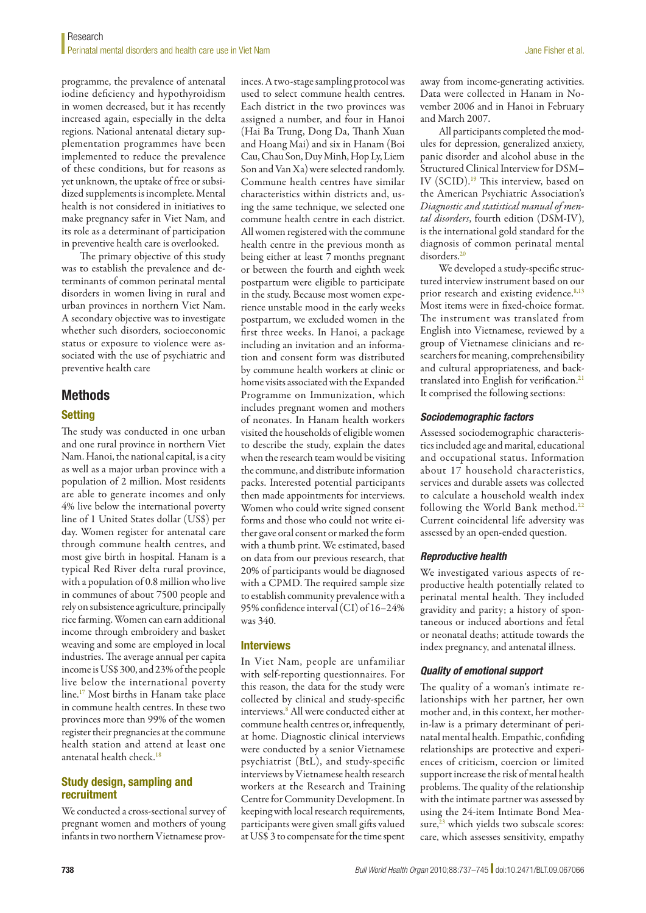programme, the prevalence of antenatal iodine deficiency and hypothyroidism in women decreased, but it has recently increased again, especially in the delta regions. National antenatal dietary supplementation programmes have been implemented to reduce the prevalence of these conditions, but for reasons as yet unknown, the uptake of free or subsidized supplements is incomplete. Mental health is not considered in initiatives to make pregnancy safer in Viet Nam, and its role as a determinant of participation in preventive health care is overlooked.

The primary objective of this study was to establish the prevalence and determinants of common perinatal mental disorders in women living in rural and urban provinces in northern Viet Nam. A secondary objective was to investigate whether such disorders, socioeconomic status or exposure to violence were associated with the use of psychiatric and preventive health care

# Methods

# **Setting**

The study was conducted in one urban and one rural province in northern Viet Nam. Hanoi, the national capital, is a city as well as a major urban province with a population of 2 million. Most residents are able to generate incomes and only 4% live below the international poverty line of 1 United States dollar (US\$) per day. Women register for antenatal care through commune health centres, and most give birth in hospital. Hanam is a typical Red River delta rural province, with a population of 0.8 million who live in communes of about 7500 people and rely on subsistence agriculture, principally rice farming. Women can earn additional income through embroidery and basket weaving and some are employed in local industries. The average annual per capita income is US\$ 300, and 23% of the people live below the international poverty line.17 Most births in Hanam take place in commune health centres. In these two provinces more than 99% of the women register their pregnancies at the commune health station and attend at least one antenatal health check. $<sup>18</sup>$ </sup>

## Study design, sampling and recruitment

We conducted a cross-sectional survey of pregnant women and mothers of young infants in two northern Vietnamese provinces. A two-stage sampling protocol was used to select commune health centres. Each district in the two provinces was assigned a number, and four in Hanoi (Hai Ba Trung, Dong Da, Thanh Xuan and Hoang Mai) and six in Hanam (Boi Cau, Chau Son, Duy Minh, Hop Ly, Liem Son and Van Xa) were selected randomly. Commune health centres have similar characteristics within districts and, using the same technique, we selected one commune health centre in each district. All women registered with the commune health centre in the previous month as being either at least 7 months pregnant or between the fourth and eighth week postpartum were eligible to participate in the study. Because most women experience unstable mood in the early weeks postpartum, we excluded women in the first three weeks. In Hanoi, a package including an invitation and an information and consent form was distributed by commune health workers at clinic or home visits associated with the Expanded Programme on Immunization, which includes pregnant women and mothers of neonates. In Hanam health workers visited the households of eligible women to describe the study, explain the dates when the research team would be visiting the commune, and distribute information packs. Interested potential participants then made appointments for interviews. Women who could write signed consent forms and those who could not write either gave oral consent or marked the form with a thumb print. We estimated, based on data from our previous research, that 20% of participants would be diagnosed with a CPMD. The required sample size to establish community prevalence with a 95% confidence interval (CI) of 16–24% was 340.

# **Interviews**

In Viet Nam, people are unfamiliar with self-reporting questionnaires. For this reason, the data for the study were collected by clinical and study-specific interviews.8 All were conducted either at commune health centres or, infrequently, at home. Diagnostic clinical interviews were conducted by a senior Vietnamese psychiatrist (BtL), and study-specific interviews by Vietnamese health research workers at the Research and Training Centre for Community Development. In keeping with local research requirements, participants were given small gifts valued at US\$ 3 to compensate for the time spent

away from income-generating activities. Data were collected in Hanam in November 2006 and in Hanoi in February and March 2007.

All participants completed the modules for depression, generalized anxiety, panic disorder and alcohol abuse in the Structured Clinical Interview for DSM– IV (SCID).<sup>19</sup> This interview, based on the American Psychiatric Association's *Diagnostic and statistical manual of mental disorders*, fourth edition (DSM-IV), is the international gold standard for the diagnosis of common perinatal mental disorders.<sup>20</sup>

We developed a study-specific structured interview instrument based on our prior research and existing evidence.<sup>8,13</sup> Most items were in fixed-choice format. The instrument was translated from English into Vietnamese, reviewed by a group of Vietnamese clinicians and researchers for meaning, comprehensibility and cultural appropriateness, and backtranslated into English for verification.<sup>21</sup> It comprised the following sections:

## *Sociodemographic factors*

Assessed sociodemographic characteristics included age and marital, educational and occupational status. Information about 17 household characteristics, services and durable assets was collected to calculate a household wealth index following the World Bank method.<sup>22</sup> Current coincidental life adversity was assessed by an open-ended question.

# *Reproductive health*

We investigated various aspects of reproductive health potentially related to perinatal mental health. They included gravidity and parity; a history of spontaneous or induced abortions and fetal or neonatal deaths; attitude towards the index pregnancy, and antenatal illness.

# *Quality of emotional support*

The quality of a woman's intimate relationships with her partner, her own mother and, in this context, her motherin-law is a primary determinant of perinatal mental health. Empathic, confiding relationships are protective and experiences of criticism, coercion or limited support increase the risk of mental health problems. The quality of the relationship with the intimate partner was assessed by using the 24-item Intimate Bond Measure, $23$  which yields two subscale scores: care, which assesses sensitivity, empathy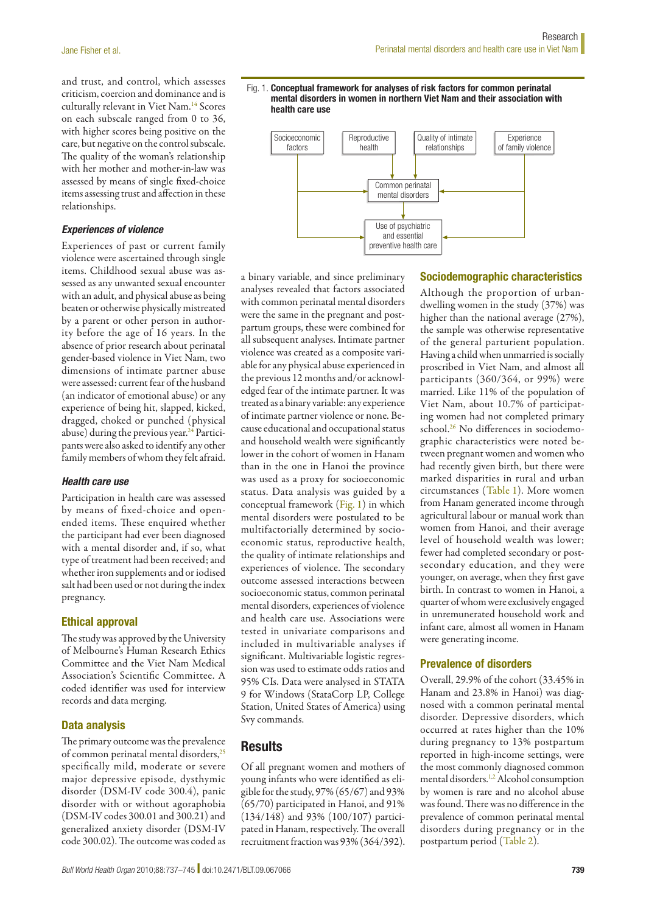and trust, and control, which assesses criticism, coercion and dominance and is culturally relevant in Viet Nam.14 Scores on each subscale ranged from 0 to 36, with higher scores being positive on the care, but negative on the control subscale. The quality of the woman's relationship with her mother and mother-in-law was assessed by means of single fixed-choice items assessing trust and affection in these relationships.

#### *Experiences of violence*

Experiences of past or current family violence were ascertained through single items. Childhood sexual abuse was assessed as any unwanted sexual encounter with an adult, and physical abuse as being beaten or otherwise physically mistreated by a parent or other person in authority before the age of 16 years. In the absence of prior research about perinatal gender-based violence in Viet Nam, two dimensions of intimate partner abuse were assessed: current fear of the husband (an indicator of emotional abuse) or any experience of being hit, slapped, kicked, dragged, choked or punched (physical abuse) during the previous year.<sup>24</sup> Participants were also asked to identify any other family members of whom they felt afraid.

### *Health care use*

Participation in health care was assessed by means of fixed-choice and openended items. These enquired whether the participant had ever been diagnosed with a mental disorder and, if so, what type of treatment had been received; and whether iron supplements and or iodised salt had been used or not during the index pregnancy.

#### Ethical approval

The study was approved by the University of Melbourne's Human Research Ethics Committee and the Viet Nam Medical Association's Scientific Committee. A coded identifier was used for interview records and data merging.

#### Data analysis

The primary outcome was the prevalence of common perinatal mental disorders,<sup>25</sup> specifically mild, moderate or severe major depressive episode, dysthymic disorder (DSM-IV code 300.4), panic disorder with or without agoraphobia (DSM-IV codes 300.01 and 300.21) and generalized anxiety disorder (DSM-IV code 300.02). The outcome was coded as

Fig. 1. Conceptual framework for analyses of risk factors for common perinatal mental disorders in women in northern Viet Nam and their association with health care use



a binary variable, and since preliminary analyses revealed that factors associated with common perinatal mental disorders were the same in the pregnant and postpartum groups, these were combined for all subsequent analyses. Intimate partner violence was created as a composite variable for any physical abuse experienced in the previous 12 months and/or acknowledged fear of the intimate partner. It was treated as a binary variable: any experience of intimate partner violence or none. Because educational and occupational status and household wealth were significantly lower in the cohort of women in Hanam than in the one in Hanoi the province was used as a proxy for socioeconomic status. Data analysis was guided by a conceptual framework (Fig. 1) in which mental disorders were postulated to be multifactorially determined by socioeconomic status, reproductive health, the quality of intimate relationships and experiences of violence. The secondary outcome assessed interactions between socioeconomic status, common perinatal mental disorders, experiences of violence and health care use. Associations were tested in univariate comparisons and included in multivariable analyses if significant. Multivariable logistic regression was used to estimate odds ratios and 95% CIs. Data were analysed in STATA 9 for Windows (StataCorp LP, College Station, United States of America) using Svy commands.

# **Results**

Of all pregnant women and mothers of young infants who were identified as eligible for the study, 97% (65/67) and 93% (65/70) participated in Hanoi, and 91% (134/148) and 93% (100/107) participated in Hanam, respectively. The overall recruitment fraction was 93% (364/392).

## Sociodemographic characteristics

Although the proportion of urbandwelling women in the study (37%) was higher than the national average (27%), the sample was otherwise representative of the general parturient population. Having a child when unmarried is socially proscribed in Viet Nam, and almost all participants (360/364, or 99%) were married. Like 11% of the population of Viet Nam, about 10.7% of participating women had not completed primary school.<sup>26</sup> No differences in sociodemographic characteristics were noted between pregnant women and women who had recently given birth, but there were marked disparities in rural and urban circumstances (Table 1). More women from Hanam generated income through agricultural labour or manual work than women from Hanoi, and their average level of household wealth was lower; fewer had completed secondary or postsecondary education, and they were younger, on average, when they first gave birth. In contrast to women in Hanoi, a quarter of whom were exclusively engaged in unremunerated household work and infant care, almost all women in Hanam were generating income.

## Prevalence of disorders

Overall, 29.9% of the cohort (33.45% in Hanam and 23.8% in Hanoi) was diagnosed with a common perinatal mental disorder. Depressive disorders, which occurred at rates higher than the 10% during pregnancy to 13% postpartum reported in high-income settings, were the most commonly diagnosed common mental disorders.1,2 Alcohol consumption by women is rare and no alcohol abuse was found. There was no difference in the prevalence of common perinatal mental disorders during pregnancy or in the postpartum period (Table 2).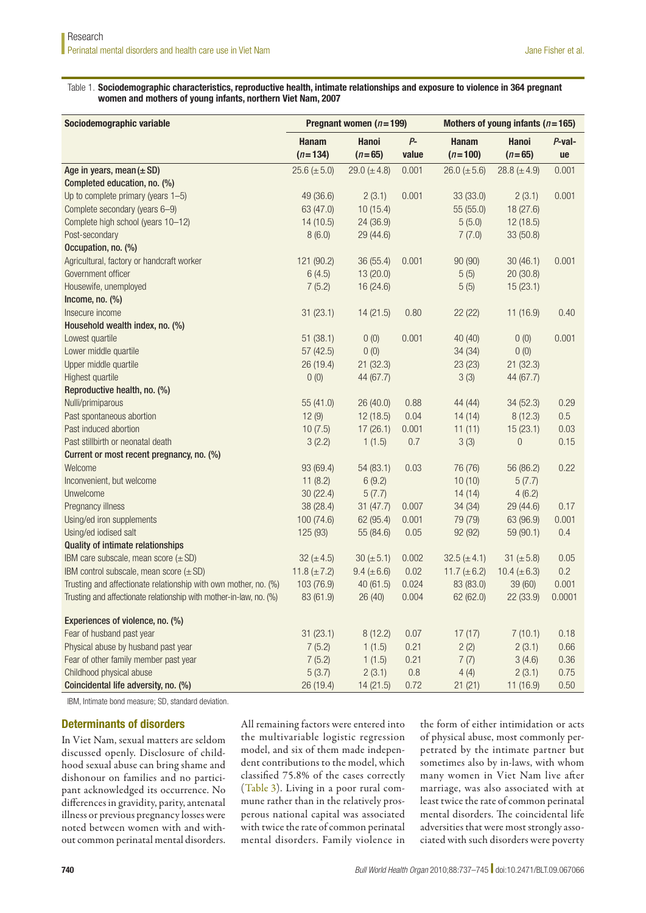#### Table 1. Sociodemographic characteristics, reproductive health, intimate relationships and exposure to violence in 364 pregnant women and mothers of young infants, northern Viet Nam, 2007

| Sociodemographic variable                                          | Pregnant women $(n=199)$  |                   |               |                           | Mothers of young infants ( $n = 165$ ) |                 |  |  |
|--------------------------------------------------------------------|---------------------------|-------------------|---------------|---------------------------|----------------------------------------|-----------------|--|--|
|                                                                    | <b>Hanam</b><br>$(n=134)$ | Hanoi<br>$(n=65)$ | $P-$<br>value | <b>Hanam</b><br>$(n=100)$ | Hanoi<br>$(n=65)$                      | $P$ -val-<br>ue |  |  |
| Age in years, mean $(\pm SD)$                                      | $25.6 (\pm 5.0)$          | 29.0 $(\pm 4.8)$  | 0.001         | $26.0 (\pm 5.6)$          | 28.8 $(\pm 4.9)$                       | 0.001           |  |  |
| Completed education, no. (%)                                       |                           |                   |               |                           |                                        |                 |  |  |
| Up to complete primary (years 1-5)                                 | 49 (36.6)                 | 2(3.1)            | 0.001         | 33 (33.0)                 | 2(3.1)                                 | 0.001           |  |  |
| Complete secondary (years 6-9)                                     | 63 (47.0)                 | 10(15.4)          |               | 55 (55.0)                 | 18 (27.6)                              |                 |  |  |
| Complete high school (years 10-12)                                 | 14 (10.5)                 | 24 (36.9)         |               | 5(5.0)                    | 12(18.5)                               |                 |  |  |
| Post-secondary                                                     | 8(6.0)                    | 29 (44.6)         |               | 7(7.0)                    | 33 (50.8)                              |                 |  |  |
| Occupation, no. (%)                                                |                           |                   |               |                           |                                        |                 |  |  |
| Agricultural, factory or handcraft worker                          | 121 (90.2)                | 36 (55.4)         | 0.001         | 90 (90)                   | 30(46.1)                               | 0.001           |  |  |
| Government officer                                                 | 6(4.5)                    | 13(20.0)          |               | 5(5)                      | 20(30.8)                               |                 |  |  |
| Housewife, unemployed                                              | 7(5.2)                    | 16 (24.6)         |               | 5(5)                      | 15(23.1)                               |                 |  |  |
| Income, no. (%)                                                    |                           |                   |               |                           |                                        |                 |  |  |
| Insecure income                                                    | 31(23.1)                  | 14(21.5)          | 0.80          | 22(22)                    | 11(16.9)                               | 0.40            |  |  |
| Household wealth index, no. (%)                                    |                           |                   |               |                           |                                        |                 |  |  |
| Lowest quartile                                                    | 51(38.1)                  | 0(0)              | 0.001         | 40 (40)                   | 0(0)                                   | 0.001           |  |  |
| Lower middle quartile                                              | 57(42.5)                  | 0(0)              |               | 34 (34)                   | 0(0)                                   |                 |  |  |
| Upper middle quartile                                              | 26 (19.4)                 | 21(32.3)          |               | 23(23)                    | 21(32.3)                               |                 |  |  |
| Highest quartile                                                   | 0(0)                      | 44 (67.7)         |               | 3(3)                      | 44 (67.7)                              |                 |  |  |
| Reproductive health, no. (%)                                       |                           |                   |               |                           |                                        |                 |  |  |
| Nulli/primiparous                                                  | 55 (41.0)                 | 26(40.0)          | 0.88          | 44 (44)                   | 34(52.3)                               | 0.29            |  |  |
| Past spontaneous abortion                                          | 12(9)                     | 12(18.5)          | 0.04          | 14(14)                    | 8(12.3)                                | 0.5             |  |  |
| Past induced abortion                                              | 10(7.5)                   | 17(26.1)          | 0.001         | 11(11)                    | 15(23.1)                               | 0.03            |  |  |
| Past stillbirth or neonatal death                                  | 3(2.2)                    | 1(1.5)            | 0.7           | 3(3)                      | $\overline{0}$                         | 0.15            |  |  |
| Current or most recent pregnancy, no. (%)                          |                           |                   |               |                           |                                        |                 |  |  |
| Welcome                                                            | 93 (69.4)                 | 54(83.1)          | 0.03          | 76 (76)                   | 56 (86.2)                              | 0.22            |  |  |
| Inconvenient, but welcome                                          | 11(8.2)                   | 6(9.2)            |               | 10(10)                    | 5(7.7)                                 |                 |  |  |
| Unwelcome                                                          | 30(22.4)                  | 5(7.7)            |               | 14(14)                    | 4(6.2)                                 |                 |  |  |
| Pregnancy illness                                                  | 38 (28.4)                 | 31(47.7)          | 0.007         | 34(34)                    | 29 (44.6)                              | 0.17            |  |  |
| Using/ed iron supplements                                          | 100 (74.6)                | 62 (95.4)         | 0.001         | 79 (79)                   | 63 (96.9)                              | 0.001           |  |  |
| Using/ed iodised salt                                              | 125 (93)                  | 55 (84.6)         | 0.05          | 92 (92)                   | 59 (90.1)                              | 0.4             |  |  |
| <b>Quality of intimate relationships</b>                           |                           |                   |               |                           |                                        |                 |  |  |
| IBM care subscale, mean score $(\pm SD)$                           | $32 (\pm 4.5)$            | $30 (\pm 5.1)$    | 0.002         | $32.5 (\pm 4.1)$          | 31 ( $\pm$ 5.8)                        | 0.05            |  |  |
| IBM control subscale, mean score $(\pm SD)$                        | 11.8 $(\pm 7.2)$          | $9.4 (\pm 6.6)$   | 0.02          | 11.7 $(\pm 6.2)$          | 10.4 $(\pm 6.3)$                       | 0.2             |  |  |
| Trusting and affectionate relationship with own mother, no. (%)    | 103 (76.9)                | 40 (61.5)         | 0.024         | 83 (83.0)                 | 39 (60)                                | 0.001           |  |  |
| Trusting and affectionate relationship with mother-in-law, no. (%) | 83 (61.9)                 | 26(40)            | 0.004         | 62 (62.0)                 | 22(33.9)                               | 0.0001          |  |  |
| Experiences of violence, no. (%)                                   |                           |                   |               |                           |                                        |                 |  |  |
| Fear of husband past year                                          | 31(23.1)                  | 8(12.2)           | 0.07          | 17(17)                    | 7(10.1)                                | 0.18            |  |  |
| Physical abuse by husband past year                                | 7(5.2)                    | 1(1.5)            | 0.21          | 2(2)                      | 2(3.1)                                 | 0.66            |  |  |
| Fear of other family member past year                              | 7(5.2)                    | 1(1.5)            | 0.21          | 7(7)                      | 3(4.6)                                 | 0.36            |  |  |
| Childhood physical abuse                                           | 5(3.7)                    | 2(3.1)            | $0.8\,$       | 4(4)                      | 2(3.1)                                 | 0.75            |  |  |
| Coincidental life adversity, no. (%)                               | 26 (19.4)                 | 14 (21.5)         | 0.72          | 21(21)                    | 11 (16.9)                              | 0.50            |  |  |

IBM, Intimate bond measure; SD, standard deviation.

#### Determinants of disorders

In Viet Nam, sexual matters are seldom discussed openly. Disclosure of childhood sexual abuse can bring shame and dishonour on families and no participant acknowledged its occurrence. No differences in gravidity, parity, antenatal illness or previous pregnancy losses were noted between women with and without common perinatal mental disorders.

All remaining factors were entered into the multivariable logistic regression model, and six of them made independent contributions to the model, which classified 75.8% of the cases correctly (Table 3). Living in a poor rural commune rather than in the relatively prosperous national capital was associated with twice the rate of common perinatal mental disorders. Family violence in the form of either intimidation or acts of physical abuse, most commonly perpetrated by the intimate partner but sometimes also by in-laws, with whom many women in Viet Nam live after marriage, was also associated with at least twice the rate of common perinatal mental disorders. The coincidental life adversities that were most strongly associated with such disorders were poverty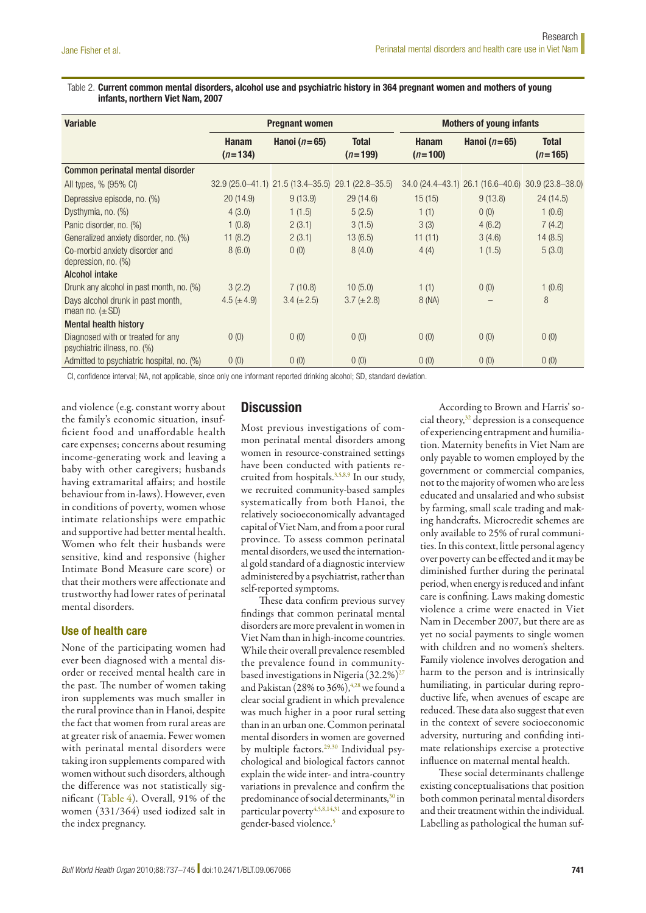#### Table 2. Current common mental disorders, alcohol use and psychiatric history in 364 pregnant women and mothers of young infants, northern Viet Nam, 2007

| <b>Variable</b>                                                   | <b>Pregnant women</b>     |                                                       |                           | <b>Mothers of young infants</b> |                                   |                           |  |
|-------------------------------------------------------------------|---------------------------|-------------------------------------------------------|---------------------------|---------------------------------|-----------------------------------|---------------------------|--|
|                                                                   | <b>Hanam</b><br>$(n=134)$ | Hanoi ( $n=65$ )                                      | <b>Total</b><br>$(n=199)$ | Hanam<br>$(n=100)$              | Hanoi ( $n = 65$ )                | <b>Total</b><br>$(n=165)$ |  |
| Common perinatal mental disorder                                  |                           |                                                       |                           |                                 |                                   |                           |  |
| All types, % (95% CI)                                             |                           | $32.9(25.0-41.1)$ $21.5(13.4-35.5)$ $29.1(22.8-35.5)$ |                           |                                 | 34.0 (24.4–43.1) 26.1 (16.6–40.6) | $30.9(23.8 - 38.0)$       |  |
| Depressive episode, no. (%)                                       | 20(14.9)                  | 9(13.9)                                               | 29(14.6)                  | 15(15)                          | 9(13.8)                           | 24(14.5)                  |  |
| Dysthymia, no. (%)                                                | 4(3.0)                    | 1(1.5)                                                | 5(2.5)                    | 1(1)                            | 0(0)                              | 1(0.6)                    |  |
| Panic disorder, no. (%)                                           | 1(0.8)                    | 2(3.1)                                                | 3(1.5)                    | 3(3)                            | 4(6.2)                            | 7(4.2)                    |  |
| Generalized anxiety disorder, no. (%)                             | 11(8.2)                   | 2(3.1)                                                | 13(6.5)                   | 11(11)                          | 3(4.6)                            | 14(8.5)                   |  |
| Co-morbid anxiety disorder and<br>depression, no. $(\%)$          | 8(6.0)                    | 0(0)                                                  | 8(4.0)                    | 4(4)                            | 1(1.5)                            | 5(3.0)                    |  |
| Alcohol intake                                                    |                           |                                                       |                           |                                 |                                   |                           |  |
| Drunk any alcohol in past month, no. (%)                          | 3(2.2)                    | 7(10.8)                                               | 10(5.0)                   | 1(1)                            | 0(0)                              | 1(0.6)                    |  |
| Days alcohol drunk in past month,<br>mean no. $(\pm SD)$          | 4.5 ( $\pm$ 4.9)          | $3.4 (\pm 2.5)$                                       | $3.7 (\pm 2.8)$           | 8 (NA)                          |                                   | 8                         |  |
| <b>Mental health history</b>                                      |                           |                                                       |                           |                                 |                                   |                           |  |
| Diagnosed with or treated for any<br>psychiatric illness, no. (%) | 0(0)                      | 0(0)                                                  | 0(0)                      | 0(0)                            | 0(0)                              | 0(0)                      |  |
| Admitted to psychiatric hospital, no. (%)                         | 0(0)                      | 0(0)                                                  | 0(0)                      | 0(0)                            | 0(0)                              | 0(0)                      |  |

CI, confidence interval; NA, not applicable, since only one informant reported drinking alcohol; SD, standard deviation.

and violence (e.g. constant worry about the family's economic situation, insufficient food and unaffordable health care expenses; concerns about resuming income-generating work and leaving a baby with other caregivers; husbands having extramarital affairs; and hostile behaviour from in-laws). However, even in conditions of poverty, women whose intimate relationships were empathic and supportive had better mental health. Women who felt their husbands were sensitive, kind and responsive (higher Intimate Bond Measure care score) or that their mothers were affectionate and trustworthy had lower rates of perinatal mental disorders.

#### Use of health care

None of the participating women had ever been diagnosed with a mental disorder or received mental health care in the past. The number of women taking iron supplements was much smaller in the rural province than in Hanoi, despite the fact that women from rural areas are at greater risk of anaemia. Fewer women with perinatal mental disorders were taking iron supplements compared with women without such disorders, although the difference was not statistically significant (Table 4). Overall, 91% of the women (331/364) used iodized salt in the index pregnancy.

# **Discussion**

Most previous investigations of common perinatal mental disorders among women in resource-constrained settings have been conducted with patients recruited from hospitals.<sup>3,5,8,9</sup> In our study, we recruited community-based samples systematically from both Hanoi, the relatively socioeconomically advantaged capital of Viet Nam, and from a poor rural province. To assess common perinatal mental disorders, we used the international gold standard of a diagnostic interview administered by a psychiatrist, rather than self-reported symptoms.

These data confirm previous survey findings that common perinatal mental disorders are more prevalent in women in Viet Nam than in high-income countries. While their overall prevalence resembled the prevalence found in communitybased investigations in Nigeria  $(32.2\%)^{27}$ and Pakistan (28% to 36%),  $4,28$  we found a clear social gradient in which prevalence was much higher in a poor rural setting than in an urban one. Common perinatal mental disorders in women are governed by multiple factors.<sup>29,30</sup> Individual psychological and biological factors cannot explain the wide inter- and intra-country variations in prevalence and confirm the predominance of social determinants,<sup>30</sup> in particular poverty<sup>4,5,8,14,31</sup> and exposure to gender-based violence.5

According to Brown and Harris' social theory,32 depression is a consequence of experiencing entrapment and humiliation. Maternity benefits in Viet Nam are only payable to women employed by the government or commercial companies, not to the majority of women who are less educated and unsalaried and who subsist by farming, small scale trading and making handcrafts. Microcredit schemes are only available to 25% of rural communities. In this context, little personal agency over poverty can be effected and it may be diminished further during the perinatal period, when energy is reduced and infant care is confining. Laws making domestic violence a crime were enacted in Viet Nam in December 2007, but there are as yet no social payments to single women with children and no women's shelters. Family violence involves derogation and harm to the person and is intrinsically humiliating, in particular during reproductive life, when avenues of escape are reduced. These data also suggest that even in the context of severe socioeconomic adversity, nurturing and confiding intimate relationships exercise a protective influence on maternal mental health.

These social determinants challenge existing conceptualisations that position both common perinatal mental disorders and their treatment within the individual. Labelling as pathological the human suf-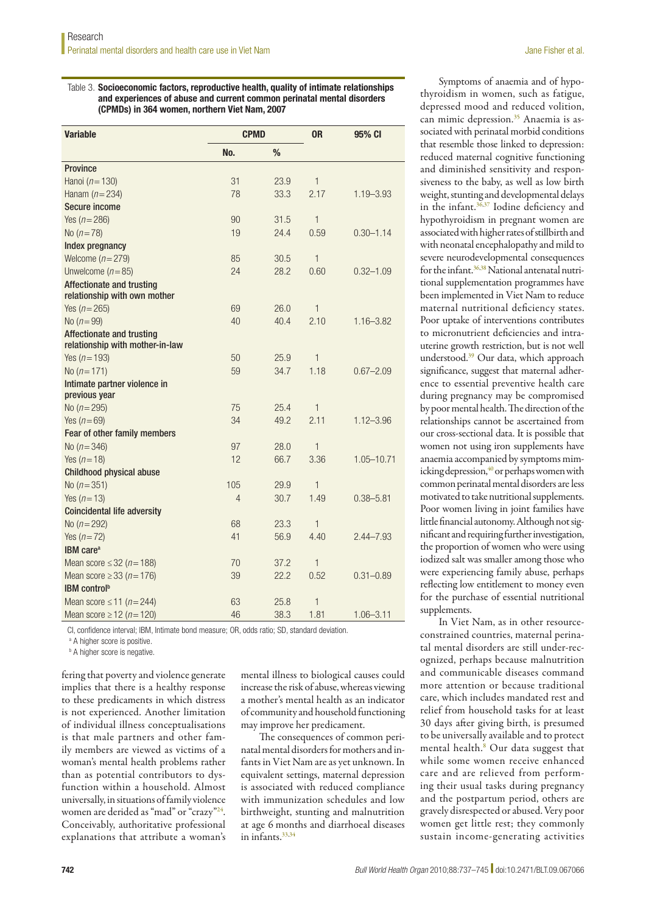#### Table 3. Socioeconomic factors, reproductive health, quality of intimate relationships and experiences of abuse and current common perinatal mental disorders (CPMDs) in 364 women, northern Viet Nam, 2007

| <b>Variable</b>                                                     | <b>CPMD</b>    |      | 0 <sub>R</sub> | 95% CI        |  |
|---------------------------------------------------------------------|----------------|------|----------------|---------------|--|
|                                                                     | No.            | ℅    |                |               |  |
| <b>Province</b>                                                     |                |      |                |               |  |
| Hanoi ( $n = 130$ )                                                 | 31             | 23.9 | 1              |               |  |
| Hanam $(n=234)$                                                     | 78             | 33.3 | 2.17           | $1.19 - 3.93$ |  |
| Secure income                                                       |                |      |                |               |  |
| Yes $(n = 286)$                                                     | 90             | 31.5 | $\mathbf{1}$   |               |  |
| No $(n=78)$                                                         | 19             | 24.4 | 0.59           | $0.30 - 1.14$ |  |
| Index pregnancy                                                     |                |      |                |               |  |
| Welcome $(n=279)$                                                   | 85             | 30.5 | $\mathbf{1}$   |               |  |
| Unwelcome $(n=85)$                                                  | 24             | 28.2 | 0.60           | $0.32 - 1.09$ |  |
| <b>Affectionate and trusting</b><br>relationship with own mother    |                |      |                |               |  |
| Yes $(n = 265)$                                                     | 69             | 26.0 | $\mathbf{1}$   |               |  |
| No $(n = 99)$                                                       | 40             | 40.4 | 2.10           | $1.16 - 3.82$ |  |
| <b>Affectionate and trusting</b><br>relationship with mother-in-law |                |      |                |               |  |
| Yes $(n = 193)$                                                     | 50             | 25.9 | 1              |               |  |
| No $(n=171)$                                                        | 59             | 34.7 | 1.18           | $0.67 - 2.09$ |  |
| Intimate partner violence in                                        |                |      |                |               |  |
| previous year                                                       |                |      |                |               |  |
| No $(n=295)$                                                        | 75             | 25.4 | $\mathbf{1}$   |               |  |
| Yes $(n=69)$                                                        | 34             | 49.2 | 2.11           | $1.12 - 3.96$ |  |
| Fear of other family members                                        |                |      |                |               |  |
| No $(n = 346)$                                                      | 97             | 28.0 | $\mathbf{1}$   |               |  |
| Yes $(n=18)$                                                        | 12             | 66.7 | 3.36           | 1.05-10.71    |  |
| <b>Childhood physical abuse</b>                                     |                |      |                |               |  |
| No $(n=351)$                                                        | 105            | 29.9 | $\mathbf{1}$   |               |  |
| Yes $(n=13)$                                                        | $\overline{4}$ | 30.7 | 1.49           | $0.38 - 5.81$ |  |
| <b>Coincidental life adversity</b>                                  |                |      |                |               |  |
| No $(n=292)$                                                        | 68             | 23.3 | $\mathbf{1}$   |               |  |
| Yes $(n=72)$                                                        | 41             | 56.9 | 4.40           | $2.44 - 7.93$ |  |
| IBM care <sup>a</sup>                                               |                |      |                |               |  |
| Mean score $\leq$ 32 (n = 188)                                      | 70             | 37.2 | 1              |               |  |
| Mean score $\geq$ 33 (n = 176)                                      | 39             | 22.2 | 0.52           | $0.31 - 0.89$ |  |
| IBM control <sup>b</sup>                                            |                |      |                |               |  |
| Mean score $\leq$ 11 ( <i>n</i> = 244)                              | 63             | 25.8 | 1              |               |  |
| Mean score $\geq$ 12 (n = 120)                                      | 46             | 38.3 | 1.81           | $1.06 - 3.11$ |  |

CI, confidence interval; IBM, Intimate bond measure; OR, odds ratio; SD, standard deviation.

<sup>a</sup> A higher score is positive.

**b** A higher score is negative.

fering that poverty and violence generate implies that there is a healthy response to these predicaments in which distress is not experienced. Another limitation of individual illness conceptualisations is that male partners and other family members are viewed as victims of a woman's mental health problems rather than as potential contributors to dysfunction within a household. Almost universally, in situations of family violence women are derided as "mad" or "crazy"<sup>24</sup>. Conceivably, authoritative professional explanations that attribute a woman's mental illness to biological causes could increase the risk of abuse, whereas viewing a mother's mental health as an indicator of community and household functioning may improve her predicament.

The consequences of common perinatal mental disorders for mothers and infants in Viet Nam are as yet unknown. In equivalent settings, maternal depression is associated with reduced compliance with immunization schedules and low birthweight, stunting and malnutrition at age 6 months and diarrhoeal diseases in infants.33,34

Symptoms of anaemia and of hypothyroidism in women, such as fatigue, depressed mood and reduced volition, can mimic depression.<sup>35</sup> Anaemia is associated with perinatal morbid conditions that resemble those linked to depression: reduced maternal cognitive functioning and diminished sensitivity and responsiveness to the baby, as well as low birth weight, stunting and developmental delays in the infant.36,37 Iodine deficiency and hypothyroidism in pregnant women are associated with higher rates of stillbirth and with neonatal encephalopathy and mild to severe neurodevelopmental consequences for the infant.<sup>36,38</sup> National antenatal nutritional supplementation programmes have been implemented in Viet Nam to reduce maternal nutritional deficiency states. Poor uptake of interventions contributes to micronutrient deficiencies and intrauterine growth restriction, but is not well understood.39 Our data, which approach significance, suggest that maternal adherence to essential preventive health care during pregnancy may be compromised by poor mental health. The direction of the relationships cannot be ascertained from our cross-sectional data. It is possible that women not using iron supplements have anaemia accompanied by symptoms mimicking depression,  $40$  or perhaps women with common perinatal mental disorders are less motivated to take nutritional supplements. Poor women living in joint families have little financial autonomy. Although not significant and requiring further investigation, the proportion of women who were using iodized salt was smaller among those who were experiencing family abuse, perhaps reflecting low entitlement to money even for the purchase of essential nutritional supplements.

In Viet Nam, as in other resourceconstrained countries, maternal perinatal mental disorders are still under-recognized, perhaps because malnutrition and communicable diseases command more attention or because traditional care, which includes mandated rest and relief from household tasks for at least 30 days after giving birth, is presumed to be universally available and to protect mental health.<sup>8</sup> Our data suggest that while some women receive enhanced care and are relieved from performing their usual tasks during pregnancy and the postpartum period, others are gravely disrespected or abused. Very poor women get little rest; they commonly sustain income-generating activities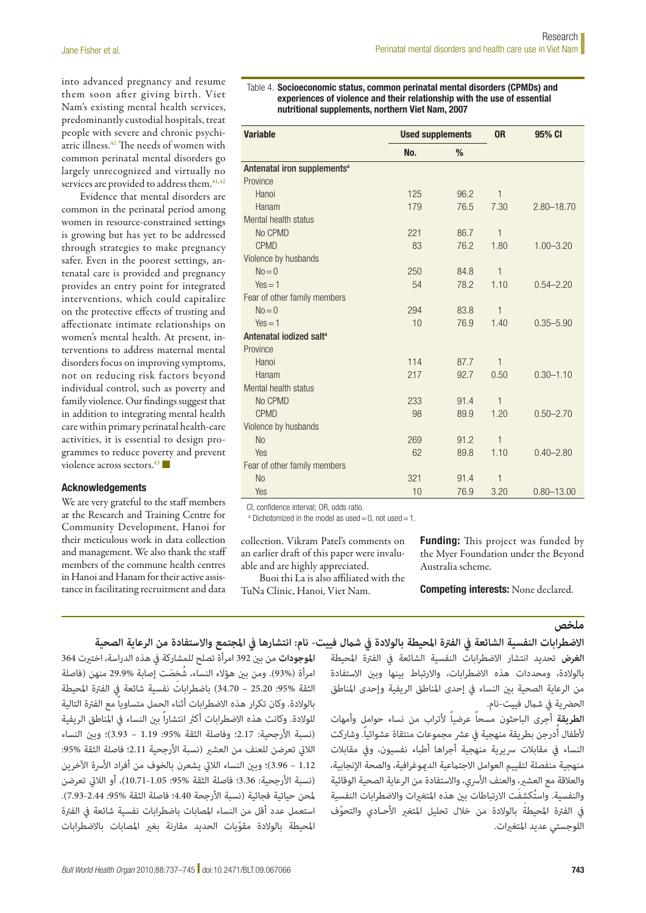into advanced pregnancy and resume them soon after giving birth. Viet Nam's existing mental health services, predominantly custodial hospitals, treat people with severe and chronic psychiatric illness.<sup>41</sup> The needs of women with common perinatal mental disorders go largely unrecognized and virtually no services are provided to address them.<sup>41,42</sup>

Evidence that mental disorders are common in the perinatal period among women in resource-constrained settings is growing but has yet to be addressed through strategies to make pregnancy safer. Even in the poorest settings, antenatal care is provided and pregnancy provides an entry point for integrated interventions, which could capitalize on the protective effects of trusting and affectionate intimate relationships on women's mental health. At present, interventions to address maternal mental disorders focus on improving symptoms, not on reducing risk factors beyond individual control, such as poverty and family violence. Our findings suggest that in addition to integrating mental health care within primary perinatal health-care activities, it is essential to design programmes to reduce poverty and prevent violence across sectors.43 ■

#### Acknowledgements

We are very grateful to the staff members at the Research and Training Centre for Community Development, Hanoi for their meticulous work in data collection and management. We also thank the staff members of the commune health centres in Hanoi and Hanam for their active assistance in facilitating recruitment and data

#### Table 4. Socioeconomic status, common perinatal mental disorders (CPMDs) and experiences of violence and their relationship with the use of essential nutritional supplements, northern Viet Nam, 2007

| <b>Variable</b>                         | <b>Used supplements</b> |      | <b>OR</b>    | 95% CI         |  |
|-----------------------------------------|-------------------------|------|--------------|----------------|--|
|                                         | No.                     | %    |              |                |  |
| Antenatal iron supplements <sup>a</sup> |                         |      |              |                |  |
| Province                                |                         |      |              |                |  |
| Hanoi                                   | 125                     | 96.2 | $\mathbf{1}$ |                |  |
| Hanam                                   | 179                     | 76.5 | 7.30         | $2.80 - 18.70$ |  |
| Mental health status                    |                         |      |              |                |  |
| No CPMD                                 | 221                     | 86.7 | $\mathbf{1}$ |                |  |
| <b>CPMD</b>                             | 83                      | 76.2 | 1.80         | $1.00 - 3.20$  |  |
| Violence by husbands                    |                         |      |              |                |  |
| $No = 0$                                | 250                     | 84.8 | $\mathbf{1}$ |                |  |
| $Yes = 1$                               | 54                      | 78.2 | 1.10         | $0.54 - 2.20$  |  |
| Fear of other family members            |                         |      |              |                |  |
| $No = 0$                                | 294                     | 83.8 | $\mathbf{1}$ |                |  |
| $Yes = 1$                               | 10                      | 76.9 | 1.40         | $0.35 - 5.90$  |  |
| Antenatal iodized salt <sup>a</sup>     |                         |      |              |                |  |
| Province                                |                         |      |              |                |  |
| Hanoi                                   | 114                     | 87.7 | $\mathbf{1}$ |                |  |
| Hanam                                   | 217                     | 92.7 | 0.50         | $0.30 - 1.10$  |  |
| Mental health status                    |                         |      |              |                |  |
| No CPMD                                 | 233                     | 91.4 | $\mathbf{1}$ |                |  |
| <b>CPMD</b>                             | 98                      | 89.9 | 1.20         | $0.50 - 2.70$  |  |
| Violence by husbands                    |                         |      |              |                |  |
| N <sub>o</sub>                          | 269                     | 91.2 | $\mathbf{1}$ |                |  |
| Yes                                     | 62                      | 89.8 | 1.10         | $0.40 - 2.80$  |  |
| Fear of other family members            |                         |      |              |                |  |
| <b>No</b>                               | 321                     | 91.4 | $\mathbf{1}$ |                |  |
| Yes                                     | 10                      | 76.9 | 3.20         | $0.80 - 13.00$ |  |

CI, confidence interval; OR, odds ratio.

 $a$  Dichotomized in the model as used  $= 0$ , not used  $= 1$ .

collection. Vikram Patel's comments on an earlier draft of this paper were invaluable and are highly appreciated.

Buoi thi La is also affiliated with the TuNa Clinic, Hanoi, Viet Nam.

**Funding:** This project was funded by the Myer Foundation under the Beyond Australia scheme.

Competing interests: None declared.

## **ملخص**

**االضطرابات النفسية الشائعة يف الفرتة املحيطة بالوالدة يف شامل فييت- نام: انتشارها يف املجتمع واالستفادة من الرعاية الصحية**

**الغرض** تحديد انتشار االضطرابات النفسية الشائعة يف الفرتة املحيطة بالوالدة، ومحددات هذه االضطرابات، واالرتباط بينها وبني االستفادة من الرعاية الصحية بني النساء يف إحدى املناطق الريفية وإحدى املناطق الحضرية في شمال فييت-نام.

**الطريقة** أجرى الباحثون مسحاً عرضياً ألتراب من نساء حوامل وأمهات لأطفال أُدرجن بطريقة منهجية في عشر مجموعات منتقاة عشوائياً. وشاركت النساء في مقابلات سريرية منهجية أجراها أطباء نفسيون، وفي مقابلات منهجية منفصلة لتقييم العوامل الاجتماعية الدموغرافية، والصحة الإنجابية، والعلاقة مع العشير، والعنف الأسري، والاستفادة من الرعاية الصحية الوقائية والنفسية. واستُكشفَت الارتباطات بن هذه المتغرات والاضطرابات النفسية في الفترة المحيطة بالولادة من خلال تحليل المتغير الأحـادي والتحوّف اللوجستي عديد املتغريات.

**املوجودات** من بني 392 امرأة تصلح للمشاركة يف هذه الدراسة، اختريت 364 امرأة (93%). ومن بن هؤلاء النساء، شُخصَت إصابة %29.9 منهن (فاصلة الثقة %95: 25.20 – 34.70) باضطرابات نفسية شائعة في الفترة المحيطة بالوالدة. وكان تكرار هذه االضطرابات أثناء الحمل متساوياً مع الفرتة التالية للوالدة. وكانت هذه االضطرابات أكرث انتشاراً بني النساء يف املناطق الريفية )نسبة األرجحية: 2.17؛ وفاصلة الثقة :95% 1.19 – 3.93(؛ وبني النساء اللاتي تعرضن للعنف من العشير (نسبة الأرجحية 2.11؛ فاصلة الثقة %95: 1.12 – 3.96)؛ وبين النساء اللاتي يشعرن بالخوف من أفراد الأسرة الآخرين (نسبة الأرجحية: 3.36؛ فاصلة الثقة %95؛ 10.71-1.05)، أو اللاتي تعرضن لمحن حياتية فجائية (نسبة الأرجحة 4.40؛ فاصلة الثقة %95: 2.44-7.93). استعمل عدد أقل من النساء املصابات باضطرابات نفسية شائعة يف الفرتة ّ املحيطة بالوالدة مقويات الحديد مقارنة بغري املصابات باالضطرابات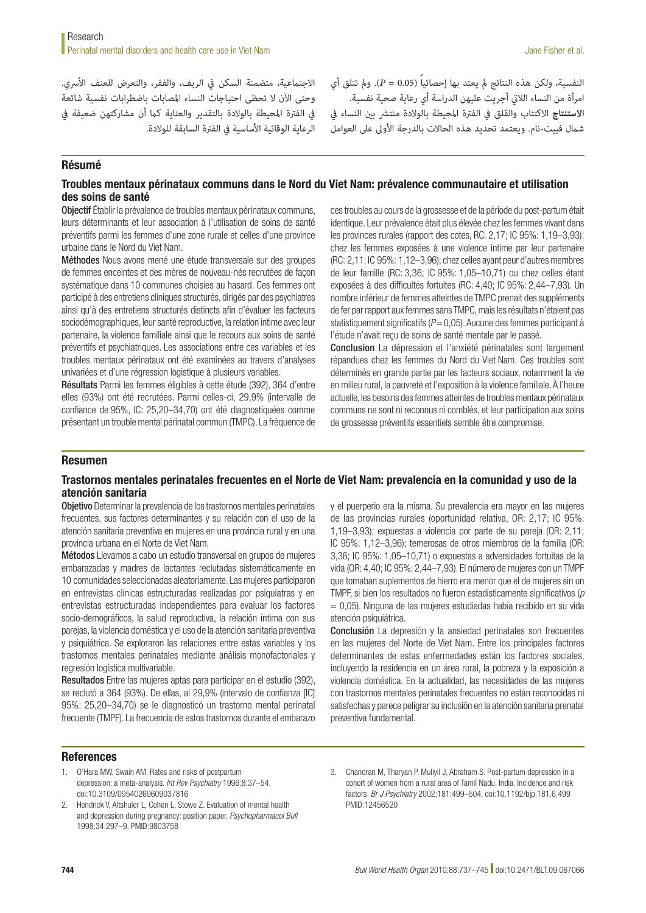الاجتماعية، متضمنة السكن في الريف، والفقر، والتعرض للعنف الأسري. وحتى اآلن ال تحظى احتياجات النساء املصابات باضطرابات نفسية شائعة في الفترة المحيطة بالولادة بالتقدير والعناية كما أن مشاركتهن ضعيفة في الرعاية الوقائية الأساسية في الفترة السابقة للولادة.

## Résumé

## Troubles mentaux périnataux communs dans le Nord du Viet Nam: prévalence communautaire et utilisation des soins de santé

Objectif Établir la prévalence de troubles mentaux périnataux communs, leurs déterminants et leur association à l'utilisation de soins de santé préventifs parmi les femmes d'une zone rurale et celles d'une province urbaine dans le Nord du Viet Nam.

Méthodes Nous avons mené une étude transversale sur des groupes de femmes enceintes et des mères de nouveau-nés recrutées de façon systématique dans 10 communes choisies au hasard. Ces femmes ont participé à des entretiens cliniques structurés, dirigés par des psychiatres ainsi qu'à des entretiens structurés distincts afin d'évaluer les facteurs sociodémographiques, leur santé reproductive, la relation intime avec leur partenaire, la violence familiale ainsi que le recours aux soins de santé préventifs et psychiatriques. Les associations entre ces variables et les troubles mentaux périnataux ont été examinées au travers d'analyses univariées et d'une régression logistique à plusieurs variables.

Résultats Parmi les femmes éligibles à cette étude (392), 364 d'entre elles (93%) ont été recrutées. Parmi celles-ci, 29,9% (intervalle de confiance de 95%, IC: 25,20–34,70) ont été diagnostiquées comme présentant un trouble mental périnatal commun (TMPC). La fréquence de ces troubles au cours de la grossesse et de la période du post-partum était identique. Leur prévalence était plus élevée chez les femmes vivant dans les provinces rurales (rapport des cotes, RC: 2,17; IC 95%: 1,19–3,93); chez les femmes exposées à une violence intime par leur partenaire (RC: 2,11; IC 95%: 1,12–3,96); chez celles ayant peur d'autres membres de leur famille (RC: 3,36; IC 95%: 1,05–10,71) ou chez celles étant exposées à des difficultés fortuites (RC: 4,40; IC 95%: 2,44–7,93). Un nombre inférieur de femmes atteintes de TMPC prenait des suppléments de fer par rapport aux femmes sans TMPC, mais les résultats n'étaient pas statistiquement significatifs ( $P = 0.05$ ). Aucune des femmes participant à l'étude n'avait reçu de soins de santé mentale par le passé.

النفسية، ولكن هذه النتائج مل يعتد بها إحصائياً )0.05 = *P*). ومل تتلق أي امرأة من النساء الاليت أجريت عليهن الدراسة أي رعاية صحية نفسية. ا**لاستنتاج** الاكتئاب والقلق في الفترة المحيطة بالولادة منتشر بن النساء في شمال فييت-نام. ويعتمد تحديد هذه الحالات بالدرجة الأولى على العوامل

Conclusion La dépression et l'anxiété périnatales sont largement répandues chez les femmes du Nord du Viet Nam. Ces troubles sont déterminés en grande partie par les facteurs sociaux, notamment la vie en milieu rural, la pauvreté et l'exposition à la violence familiale. À l'heure actuelle, les besoins des femmes atteintes de troubles mentaux périnataux communs ne sont ni reconnus ni comblés, et leur participation aux soins de grossesse préventifs essentiels semble être compromise.

#### Resumen

## Trastornos mentales perinatales frecuentes en el Norte de Viet Nam: prevalencia en la comunidad y uso de la atención sanitaria

Objetivo Determinar la prevalencia de los trastornos mentales perinatales frecuentes, sus factores determinantes y su relación con el uso de la atención sanitaria preventiva en mujeres en una provincia rural y en una provincia urbana en el Norte de Viet Nam.

Métodos Llevamos a cabo un estudio transversal en grupos de mujeres embarazadas y madres de lactantes reclutadas sistemáticamente en 10 comunidades seleccionadas aleatoriamente. Las mujeres participaron en entrevistas clínicas estructuradas realizadas por psiquiatras y en entrevistas estructuradas independientes para evaluar los factores socio-demográficos, la salud reproductiva, la relación íntima con sus parejas, la violencia doméstica y el uso de la atención sanitaria preventiva y psiquiátrica. Se exploraron las relaciones entre estas variables y los trastornos mentales perinatales mediante análisis monofactoriales y regresión logística multivariable.

Resultados Entre las mujeres aptas para participar en el estudio (392), se reclutó a 364 (93%). De ellas, al 29,9% (intervalo de confianza [IC] 95%: 25,20–34,70) se le diagnosticó un trastorno mental perinatal frecuente (TMPF). La frecuencia de estos trastornos durante el embarazo y el puerperio era la misma. Su prevalencia era mayor en las mujeres de las provincias rurales (oportunidad relativa, OR: 2,17; IC 95%: 1,19–3,93); expuestas a violencia por parte de su pareja (OR: 2,11; IC 95%: 1,12–3,96); temerosas de otros miembros de la familia (OR: 3,36; IC 95%: 1,05–10,71) o expuestas a adversidades fortuitas de la vida (OR: 4,40; IC 95%: 2,44–7,93). El número de mujeres con un TMPF que tomaban suplementos de hierro era menor que el de mujeres sin un TMPF, si bien los resultados no fueron estadísticamente significativos (*p*  $= 0.05$ ). Ninguna de las mujeres estudiadas había recibido en su vida atención psiquiátrica.

Conclusión La depresión y la ansiedad perinatales son frecuentes en las mujeres del Norte de Viet Nam. Entre los principales factores determinantes de estas enfermedades están los factores sociales, incluyendo la residencia en un área rural, la pobreza y la exposición a violencia doméstica. En la actualidad, las necesidades de las mujeres con trastornos mentales perinatales frecuentes no están reconocidas ni satisfechas y parece peligrar su inclusión en la atención sanitaria prenatal preventiva fundamental.

#### References

- 1. O'Hara MW, Swain AM. Rates and risks of postpartum depression: a meta-analysis. *Int Rev Psychiatry* 1996;8:37–54. doi[:10.3109/09540269609037816](http://dx.doi.org/10.3109/09540269609037816)
- 2. Hendrick V, Altshuler L, Cohen L, Stowe Z. Evaluation of mental health and depression during pregnancy: position paper. *Psychopharmacol Bull* 1998;34:297–9. PMID:[9803758](http://www.ncbi.nlm.nih.gov/pubmed/9803758)
- 3. Chandran M, Tharyan P, Muliyil J, Abraham S. Post-partum depression in a cohort of women from a rural area of Tamil Nadu, India. Incidence and risk factors. *Br J Psychiatry* 2002;181:499–504. doi[:10.1192/bjp.181.6.499](http://dx.doi.org/10.1192/bjp.181.6.499)  PMID:[12456520](http://www.ncbi.nlm.nih.gov/pubmed/12456520)